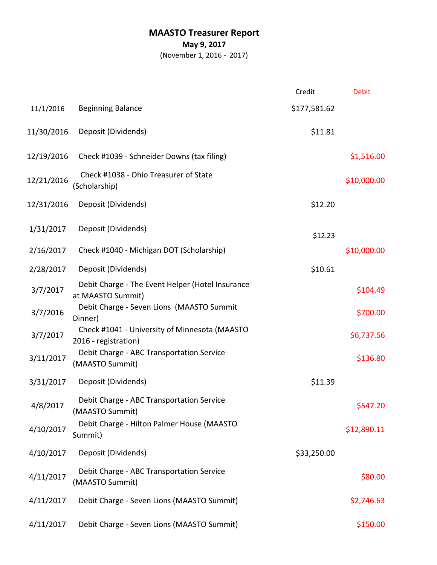## **MAASTO Treasurer Report**

**May 9, 2017**

(November 1, 2016 - 2017)

|            |                                                                       | Credit       | <b>Debit</b> |
|------------|-----------------------------------------------------------------------|--------------|--------------|
| 11/1/2016  | <b>Beginning Balance</b>                                              | \$177,581.62 |              |
| 11/30/2016 | Deposit (Dividends)                                                   | \$11.81      |              |
| 12/19/2016 | Check #1039 - Schneider Downs (tax filing)                            |              | \$1,516.00   |
| 12/21/2016 | Check #1038 - Ohio Treasurer of State<br>(Scholarship)                |              | \$10,000.00  |
| 12/31/2016 | Deposit (Dividends)                                                   | \$12.20      |              |
| 1/31/2017  | Deposit (Dividends)                                                   | \$12.23      |              |
| 2/16/2017  | Check #1040 - Michigan DOT (Scholarship)                              |              | \$10,000.00  |
| 2/28/2017  | Deposit (Dividends)                                                   | \$10.61      |              |
| 3/7/2017   | Debit Charge - The Event Helper (Hotel Insurance<br>at MAASTO Summit) |              | \$104.49     |
| 3/7/2016   | Debit Charge - Seven Lions (MAASTO Summit<br>Dinner)                  |              | \$700.00     |
| 3/7/2017   | Check #1041 - University of Minnesota (MAASTO<br>2016 - registration) |              | \$6,737.56   |
| 3/11/2017  | Debit Charge - ABC Transportation Service<br>(MAASTO Summit)          |              | \$136.80     |
| 3/31/2017  | Deposit (Dividends)                                                   | \$11.39      |              |
| 4/8/2017   | Debit Charge - ABC Transportation Service<br>(MAASTO Summit)          |              | \$547.20     |
| 4/10/2017  | Debit Charge - Hilton Palmer House (MAASTO<br>Summit)                 |              | \$12,890.11  |
| 4/10/2017  | Deposit (Dividends)                                                   | \$33,250.00  |              |
| 4/11/2017  | Debit Charge - ABC Transportation Service<br>(MAASTO Summit)          |              | \$80.00      |
| 4/11/2017  | Debit Charge - Seven Lions (MAASTO Summit)                            |              | \$2,746.63   |
| 4/11/2017  | Debit Charge - Seven Lions (MAASTO Summit)                            |              | \$150.00     |